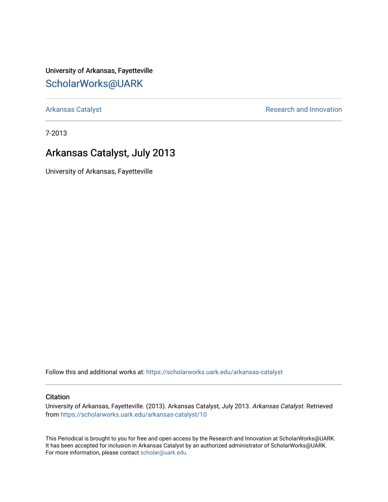University of Arkansas, Fayetteville [ScholarWorks@UARK](https://scholarworks.uark.edu/) 

[Arkansas Catalyst](https://scholarworks.uark.edu/arkansas-catalyst) **Research and Innovation** 

7-2013

### Arkansas Catalyst, July 2013

University of Arkansas, Fayetteville

Follow this and additional works at: [https://scholarworks.uark.edu/arkansas-catalyst](https://scholarworks.uark.edu/arkansas-catalyst?utm_source=scholarworks.uark.edu%2Farkansas-catalyst%2F10&utm_medium=PDF&utm_campaign=PDFCoverPages) 

#### **Citation**

University of Arkansas, Fayetteville. (2013). Arkansas Catalyst, July 2013. Arkansas Catalyst. Retrieved from [https://scholarworks.uark.edu/arkansas-catalyst/10](https://scholarworks.uark.edu/arkansas-catalyst/10?utm_source=scholarworks.uark.edu%2Farkansas-catalyst%2F10&utm_medium=PDF&utm_campaign=PDFCoverPages) 

This Periodical is brought to you for free and open access by the Research and Innovation at ScholarWorks@UARK. It has been accepted for inclusion in Arkansas Catalyst by an authorized administrator of ScholarWorks@UARK. For more information, please contact [scholar@uark.edu](mailto:scholar@uark.edu).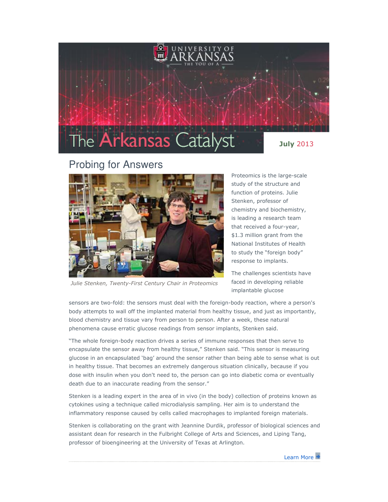

### Probing for Answers



Julie Stenken, Twenty-First Century Chair in Proteomics

Proteomics is the large-scale study of the structure and function of proteins. Julie Stenken, professor of chemistry and biochemistry, is leading a research team that received a four-year, \$1.3 million grant from the National Institutes of Health to study the "foreign body" response to implants.

The challenges scientists have faced in developing reliable implantable glucose

sensors are two-fold: the sensors must deal with the foreign-body reaction, where a person's body attempts to wall off the implanted material from healthy tissue, and just as importantly, blood chemistry and tissue vary from person to person. After a week, these natural phenomena cause erratic glucose readings from sensor implants, Stenken said.

"The whole foreign-body reaction drives a series of immune responses that then serve to encapsulate the sensor away from healthy tissue," Stenken said. "This sensor is measuring glucose in an encapsulated 'bag' around the sensor rather than being able to sense what is out in healthy tissue. That becomes an extremely dangerous situation clinically, because if you dose with insulin when you don't need to, the person can go into diabetic coma or eventually death due to an inaccurate reading from the sensor."

Stenken is a leading expert in the area of in vivo (in the body) collection of proteins known as cytokines using a technique called microdialysis sampling. Her aim is to understand the inflammatory response caused by cells called macrophages to implanted foreign materials.

Stenken is collaborating on the grant with Jeannine Durdik, professor of biological sciences and assistant dean for research in the Fulbright College of Arts and Sciences, and Liping Tang, professor of bioengineering at the University of Texas at Arlington.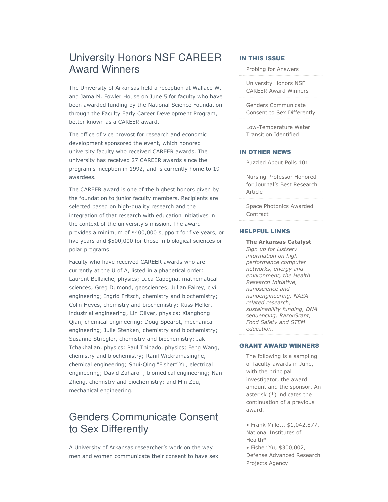## University Honors NSF CAREER Award Winners

The University of Arkansas held a reception at Wallace W. and Jama M. Fowler House on June 5 for faculty who have been awarded funding by the National Science Foundation through the Faculty Early Career Development Program, better known as a CAREER award.

The office of vice provost for research and economic development sponsored the event, which honored university faculty who received CAREER awards. The university has received 27 CAREER awards since the program's inception in 1992, and is currently home to 19 awardees.

The CAREER award is one of the highest honors given by the foundation to junior faculty members. Recipients are selected based on high-quality research and the integration of that research with education initiatives in the context of the university's mission. The award provides a minimum of \$400,000 support for five years, or five years and \$500,000 for those in biological sciences or polar programs.

Faculty who have received CAREER awards who are currently at the U of A, listed in alphabetical order: Laurent Bellaiche, physics; Luca Capogna, mathematical sciences; Greg Dumond, geosciences; Julian Fairey, civil engineering; Ingrid Fritsch, chemistry and biochemistry; Colin Heyes, chemistry and biochemistry; Russ Meller, industrial engineering; Lin Oliver, physics; Xianghong Qian, chemical engineering; Doug Spearot, mechanical engineering; Julie Stenken, chemistry and biochemistry; Susanne Striegler, chemistry and biochemistry; Jak Tchakhalian, physics; Paul Thibado, physics; Feng Wang, chemistry and biochemistry; Ranil Wickramasinghe, chemical engineering; Shui-Qing "Fisher" Yu, electrical engineering; David Zaharoff, biomedical engineering; Nan Zheng, chemistry and biochemistry; and Min Zou, mechanical engineering.

## Genders Communicate Consent to Sex Differently

A University of Arkansas researcher's work on the way men and women communicate their consent to have sex

#### IN THIS ISSUE

Probing for Answers

University Honors NSF CAREER Award Winners

Genders Communicate Consent to Sex Differently

Low-Temperature Water Transition Identified

#### IN OTHER NEWS

Puzzled About Polls 101

Nursing Professor Honored for Journal's Best Research Article

Space Photonics Awarded **Contract** 

#### HELPFUL LINKS

The Arkansas Catalyst Sign up for Listserv information on high performance computer networks, energy and environment, the Health Research Initiative, nanoscience and nanoengineering, NASA related research, sustainability funding, DNA sequencing, RazorGrant, Food Safety and STEM education.

#### GRANT AWARD WINNERS

The following is a sampling of faculty awards in June, with the principal investigator, the award amount and the sponsor. An asterisk (\*) indicates the continuation of a previous award.

• Frank Millett, \$1,042,877, National Institutes of Health\* • Fisher Yu, \$300,002,

Defense Advanced Research Projects Agency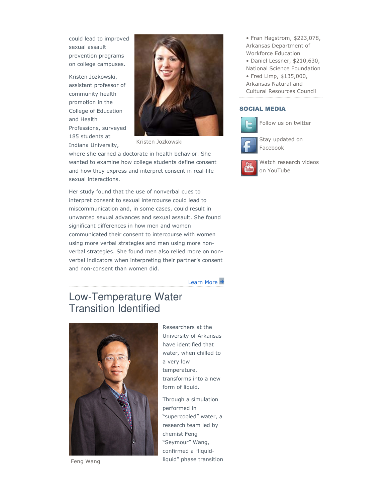could lead to improved sexual assault prevention programs on college campuses.

Kristen Jozkowski, assistant professor of community health promotion in the College of Education and Health Professions, surveyed 185 students at Indiana University,



Kristen Jozkowski

where she earned a doctorate in health behavior. She wanted to examine how college students define consent and how they express and interpret consent in real-life sexual interactions.

Her study found that the use of nonverbal cues to interpret consent to sexual intercourse could lead to miscommunication and, in some cases, could result in unwanted sexual advances and sexual assault. She found significant differences in how men and women communicated their consent to intercourse with women using more verbal strategies and men using more nonverbal strategies. She found men also relied more on nonverbal indicators when interpreting their partner's consent and non-consent than women did.

Learn More

## Low-Temperature Water Transition Identified



Feng Wang

Researchers at the University of Arkansas have identified that water, when chilled to a very low temperature, transforms into a new form of liquid.

Through a simulation performed in "supercooled" water, a research team led by chemist Feng "Seymour" Wang, confirmed a "liquidliquid" phase transition • Fran Hagstrom, \$223,078, Arkansas Department of Workforce Education • Daniel Lessner, \$210,630, National Science Foundation • Fred Limp, \$135,000, Arkansas Natural and

Cultural Resources Council

#### SOCIAL MEDIA



Follow us on twitter



Facebook

Watch research videos Tube on YouTube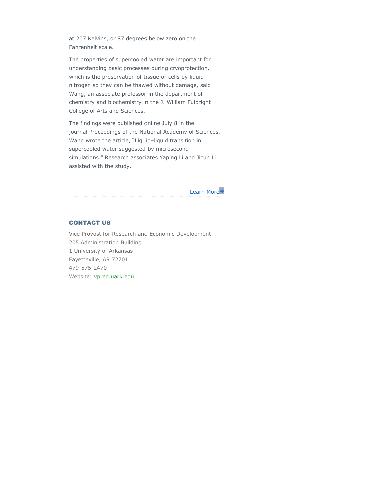at 207 Kelvins, or 87 degrees below zero on the Fahrenheit scale.

The properties of supercooled water are important for understanding basic processes during cryoprotection, which is the preservation of tissue or cells by liquid nitrogen so they can be thawed without damage, said Wang, an associate professor in the department of chemistry and biochemistry in the J. William Fulbright College of Arts and Sciences.

The findings were published online July 8 in the journal Proceedings of the National Academy of Sciences. Wang wrote the article, "Liquid–liquid transition in supercooled water suggested by microsecond simulations." Research associates Yaping Li and Jicun Li assisted with the study.

Learn More

#### CONTACT US

Vice Provost for Research and Economic Development 205 Administration Building 1 University of Arkansas Fayetteville, AR 72701 479-575-2470 Website: vpred.uark.edu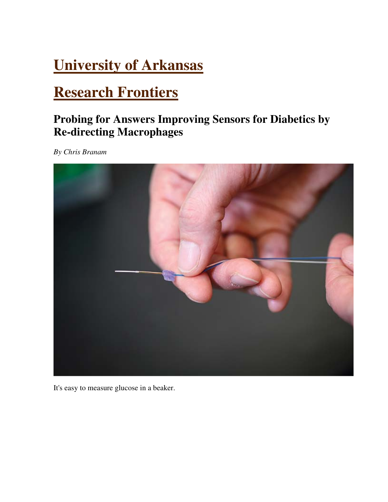## **University of Arkansas**

## **Research Frontiers**

## **Probing for Answers Improving Sensors for Diabetics by Re-directing Macrophages**

*By Chris Branam*



It's easy to measure glucose in a beaker.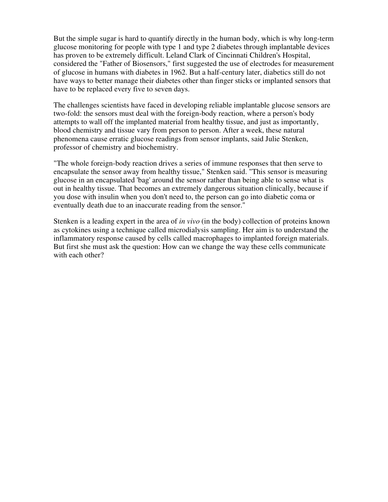But the simple sugar is hard to quantify directly in the human body, which is why long-term glucose monitoring for people with type 1 and type 2 diabetes through implantable devices has proven to be extremely difficult. Leland Clark of Cincinnati Children's Hospital, considered the "Father of Biosensors," first suggested the use of electrodes for measurement of glucose in humans with diabetes in 1962. But a half-century later, diabetics still do not have ways to better manage their diabetes other than finger sticks or implanted sensors that have to be replaced every five to seven days.

The challenges scientists have faced in developing reliable implantable glucose sensors are two-fold: the sensors must deal with the foreign-body reaction, where a person's body attempts to wall off the implanted material from healthy tissue, and just as importantly, blood chemistry and tissue vary from person to person. After a week, these natural phenomena cause erratic glucose readings from sensor implants, said Julie Stenken, professor of chemistry and biochemistry.

"The whole foreign-body reaction drives a series of immune responses that then serve to encapsulate the sensor away from healthy tissue," Stenken said. "This sensor is measuring glucose in an encapsulated 'bag' around the sensor rather than being able to sense what is out in healthy tissue. That becomes an extremely dangerous situation clinically, because if you dose with insulin when you don't need to, the person can go into diabetic coma or eventually death due to an inaccurate reading from the sensor."

Stenken is a leading expert in the area of *in vivo* (in the body) collection of proteins known as cytokines using a technique called microdialysis sampling. Her aim is to understand the inflammatory response caused by cells called macrophages to implanted foreign materials. But first she must ask the question: How can we change the way these cells communicate with each other?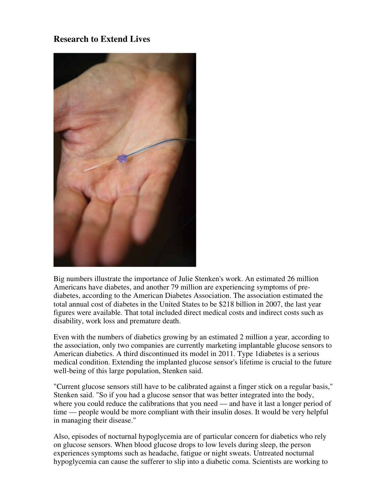#### **Research to Extend Lives**



Big numbers illustrate the importance of Julie Stenken's work. An estimated 26 million Americans have diabetes, and another 79 million are experiencing symptoms of prediabetes, according to the American Diabetes Association. The association estimated the total annual cost of diabetes in the United States to be \$218 billion in 2007, the last year figures were available. That total included direct medical costs and indirect costs such as disability, work loss and premature death.

Even with the numbers of diabetics growing by an estimated 2 million a year, according to the association, only two companies are currently marketing implantable glucose sensors to American diabetics. A third discontinued its model in 2011. Type 1diabetes is a serious medical condition. Extending the implanted glucose sensor's lifetime is crucial to the future well-being of this large population, Stenken said.

"Current glucose sensors still have to be calibrated against a finger stick on a regular basis," Stenken said. "So if you had a glucose sensor that was better integrated into the body, where you could reduce the calibrations that you need — and have it last a longer period of time — people would be more compliant with their insulin doses. It would be very helpful in managing their disease."

Also, episodes of nocturnal hypoglycemia are of particular concern for diabetics who rely on glucose sensors. When blood glucose drops to low levels during sleep, the person experiences symptoms such as headache, fatigue or night sweats. Untreated nocturnal hypoglycemia can cause the sufferer to slip into a diabetic coma. Scientists are working to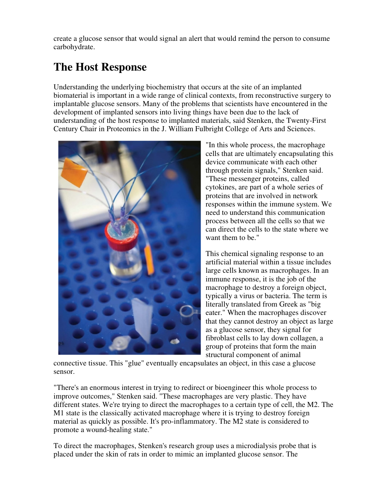create a glucose sensor that would signal an alert that would remind the person to consume carbohydrate.

## **The Host Response**

Understanding the underlying biochemistry that occurs at the site of an implanted biomaterial is important in a wide range of clinical contexts, from reconstructive surgery to implantable glucose sensors. Many of the problems that scientists have encountered in the development of implanted sensors into living things have been due to the lack of understanding of the host response to implanted materials, said Stenken, the Twenty-First Century Chair in Proteomics in the J. William Fulbright College of Arts and Sciences.



"In this whole process, the macrophage cells that are ultimately encapsulating this device communicate with each other through protein signals," Stenken said. "These messenger proteins, called cytokines, are part of a whole series of proteins that are involved in network responses within the immune system. We need to understand this communication process between all the cells so that we can direct the cells to the state where we want them to be."

This chemical signaling response to an artificial material within a tissue includes large cells known as macrophages. In an immune response, it is the job of the macrophage to destroy a foreign object, typically a virus or bacteria. The term is literally translated from Greek as "big eater." When the macrophages discover that they cannot destroy an object as large as a glucose sensor, they signal for fibroblast cells to lay down collagen, a group of proteins that form the main structural component of animal

connective tissue. This "glue" eventually encapsulates an object, in this case a glucose sensor.

"There's an enormous interest in trying to redirect or bioengineer this whole process to improve outcomes," Stenken said. "These macrophages are very plastic. They have different states. We're trying to direct the macrophages to a certain type of cell, the M2. The M1 state is the classically activated macrophage where it is trying to destroy foreign material as quickly as possible. It's pro-inflammatory. The M2 state is considered to promote a wound-healing state."

To direct the macrophages, Stenken's research group uses a microdialysis probe that is placed under the skin of rats in order to mimic an implanted glucose sensor. The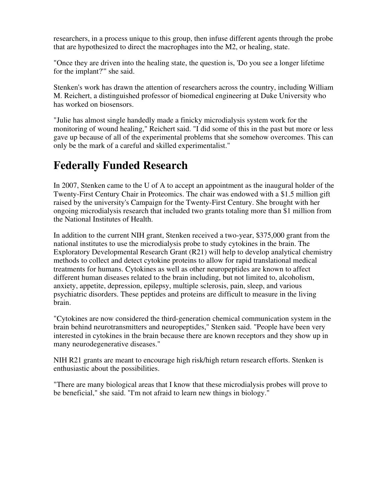researchers, in a process unique to this group, then infuse different agents through the probe that are hypothesized to direct the macrophages into the M2, or healing, state.

"Once they are driven into the healing state, the question is, 'Do you see a longer lifetime for the implant?'" she said.

Stenken's work has drawn the attention of researchers across the country, including William M. Reichert, a distinguished professor of biomedical engineering at Duke University who has worked on biosensors.

"Julie has almost single handedly made a finicky microdialysis system work for the monitoring of wound healing," Reichert said. "I did some of this in the past but more or less gave up because of all of the experimental problems that she somehow overcomes. This can only be the mark of a careful and skilled experimentalist."

## **Federally Funded Research**

In 2007, Stenken came to the U of A to accept an appointment as the inaugural holder of the Twenty-First Century Chair in Proteomics. The chair was endowed with a \$1.5 million gift raised by the university's Campaign for the Twenty-First Century. She brought with her ongoing microdialysis research that included two grants totaling more than \$1 million from the National Institutes of Health.

In addition to the current NIH grant, Stenken received a two-year, \$375,000 grant from the national institutes to use the microdialysis probe to study cytokines in the brain. The Exploratory Developmental Research Grant (R21) will help to develop analytical chemistry methods to collect and detect cytokine proteins to allow for rapid translational medical treatments for humans. Cytokines as well as other neuropeptides are known to affect different human diseases related to the brain including, but not limited to, alcoholism, anxiety, appetite, depression, epilepsy, multiple sclerosis, pain, sleep, and various psychiatric disorders. These peptides and proteins are difficult to measure in the living brain.

"Cytokines are now considered the third-generation chemical communication system in the brain behind neurotransmitters and neuropeptides," Stenken said. "People have been very interested in cytokines in the brain because there are known receptors and they show up in many neurodegenerative diseases."

NIH R21 grants are meant to encourage high risk/high return research efforts. Stenken is enthusiastic about the possibilities.

"There are many biological areas that I know that these microdialysis probes will prove to be beneficial," she said. "I'm not afraid to learn new things in biology."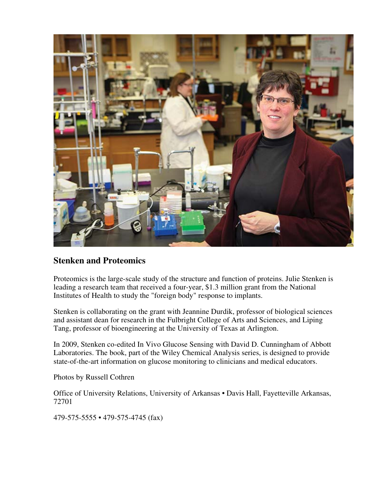

#### **Stenken and Proteomics**

Proteomics is the large-scale study of the structure and function of proteins. Julie Stenken is leading a research team that received a four-year, \$1.3 million grant from the National Institutes of Health to study the "foreign body" response to implants.

Stenken is collaborating on the grant with Jeannine Durdik, professor of biological sciences and assistant dean for research in the Fulbright College of Arts and Sciences, and Liping Tang, professor of bioengineering at the University of Texas at Arlington.

In 2009, Stenken co-edited In Vivo Glucose Sensing with David D. Cunningham of Abbott Laboratories. The book, part of the Wiley Chemical Analysis series, is designed to provide state-of-the-art information on glucose monitoring to clinicians and medical educators.

Photos by Russell Cothren

Office of University Relations, University of Arkansas • Davis Hall, Fayetteville Arkansas, 72701

479-575-5555 • 479-575-4745 (fax)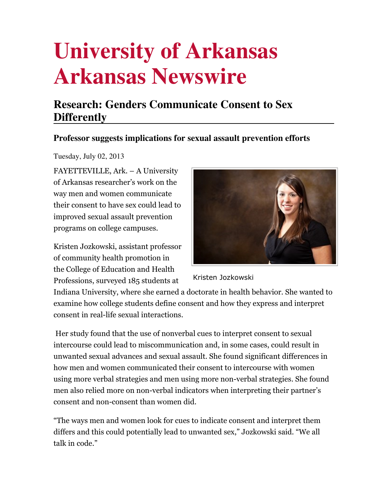# **University of Arkansas Arkansas Newswire**

## **Research: Genders Communicate Consent to Sex Differently**

#### **Professor suggests implications for sexual assault prevention efforts**

Tuesday, July 02, 2013

FAYETTEVILLE, Ark. – A University of Arkansas researcher's work on the way men and women communicate their consent to have sex could lead to improved sexual assault prevention programs on college campuses.

Kristen Jozkowski, assistant professor of community health promotion in the College of Education and Health Professions, surveyed 185 students at



Kristen Jozkowski

Indiana University, where she earned a doctorate in health behavior. She wanted to examine how college students define consent and how they express and interpret consent in real-life sexual interactions.

 Her study found that the use of nonverbal cues to interpret consent to sexual intercourse could lead to miscommunication and, in some cases, could result in unwanted sexual advances and sexual assault. She found significant differences in how men and women communicated their consent to intercourse with women using more verbal strategies and men using more non-verbal strategies. She found men also relied more on non-verbal indicators when interpreting their partner's consent and non-consent than women did.

"The ways men and women look for cues to indicate consent and interpret them differs and this could potentially lead to unwanted sex," Jozkowski said. "We all talk in code."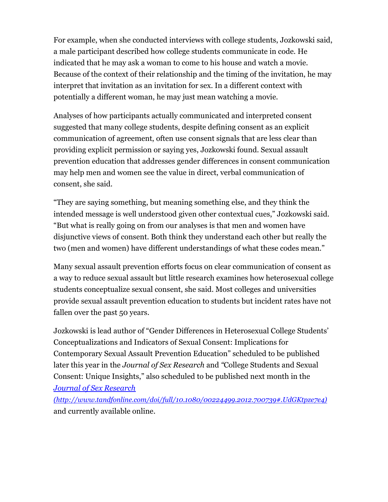For example, when she conducted interviews with college students, Jozkowski said, a male participant described how college students communicate in code. He indicated that he may ask a woman to come to his house and watch a movie. Because of the context of their relationship and the timing of the invitation, he may interpret that invitation as an invitation for sex. In a different context with potentially a different woman, he may just mean watching a movie.

Analyses of how participants actually communicated and interpreted consent suggested that many college students, despite defining consent as an explicit communication of agreement, often use consent signals that are less clear than providing explicit permission or saying yes, Jozkowski found. Sexual assault prevention education that addresses gender differences in consent communication may help men and women see the value in direct, verbal communication of consent, she said.

"They are saying something, but meaning something else, and they think the intended message is well understood given other contextual cues," Jozkowski said. "But what is really going on from our analyses is that men and women have disjunctive views of consent. Both think they understand each other but really the two (men and women) have different understandings of what these codes mean."

Many sexual assault prevention efforts focus on clear communication of consent as a way to reduce sexual assault but little research examines how heterosexual college students conceptualize sexual consent, she said. Most colleges and universities provide sexual assault prevention education to students but incident rates have not fallen over the past 50 years.

Jozkowski is lead author of "Gender Differences in Heterosexual College Students' Conceptualizations and Indicators of Sexual Consent: Implications for Contemporary Sexual Assault Prevention Education" scheduled to be published later this year in the Journal of Sex Research and "College Students and Sexual Consent: Unique Insights," also scheduled to be published next month in the Journal of Sex Research

(http://www.tandfonline.com/doi/full/10.1080/00224499.2012.700739#.UdGKtpze7e4) and currently available online.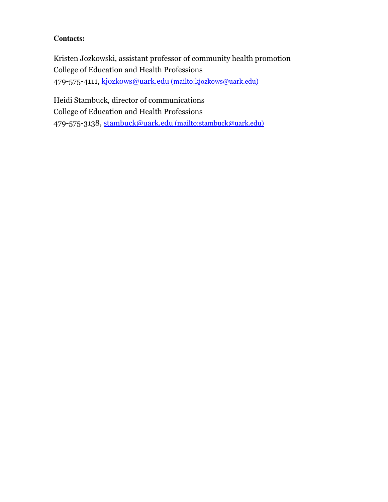#### **Contacts:**

Kristen Jozkowski, assistant professor of community health promotion College of Education and Health Professions 479-575-4111, kjozkows@uark.edu (mailto:kjozkows@uark.edu)

Heidi Stambuck, director of communications College of Education and Health Professions 479-575-3138, stambuck@uark.edu (mailto:stambuck@uark.edu)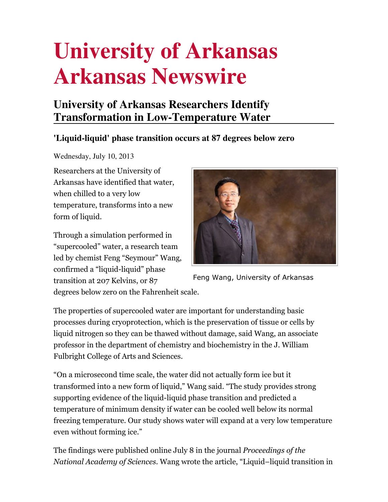# **University of Arkansas Arkansas Newswire**

## **University of Arkansas Researchers Identify Transformation in Low-Temperature Water**

#### **'Liquid-liquid' phase transition occurs at 87 degrees below zero**

Wednesday, July 10, 2013

Researchers at the University of Arkansas have identified that water, when chilled to a very low temperature, transforms into a new form of liquid.

Through a simulation performed in "supercooled" water, a research team led by chemist Feng "Seymour" Wang, confirmed a "liquid-liquid" phase transition at 207 Kelvins, or 87



Feng Wang, University of Arkansas

degrees below zero on the Fahrenheit scale.

The properties of supercooled water are important for understanding basic processes during cryoprotection, which is the preservation of tissue or cells by liquid nitrogen so they can be thawed without damage, said Wang, an associate professor in the department of chemistry and biochemistry in the J. William Fulbright College of Arts and Sciences.

"On a microsecond time scale, the water did not actually form ice but it transformed into a new form of liquid," Wang said. "The study provides strong supporting evidence of the liquid-liquid phase transition and predicted a temperature of minimum density if water can be cooled well below its normal freezing temperature. Our study shows water will expand at a very low temperature even without forming ice."

The findings were published online July 8 in the journal Proceedings of the National Academy of Sciences. Wang wrote the article, "Liquid–liquid transition in